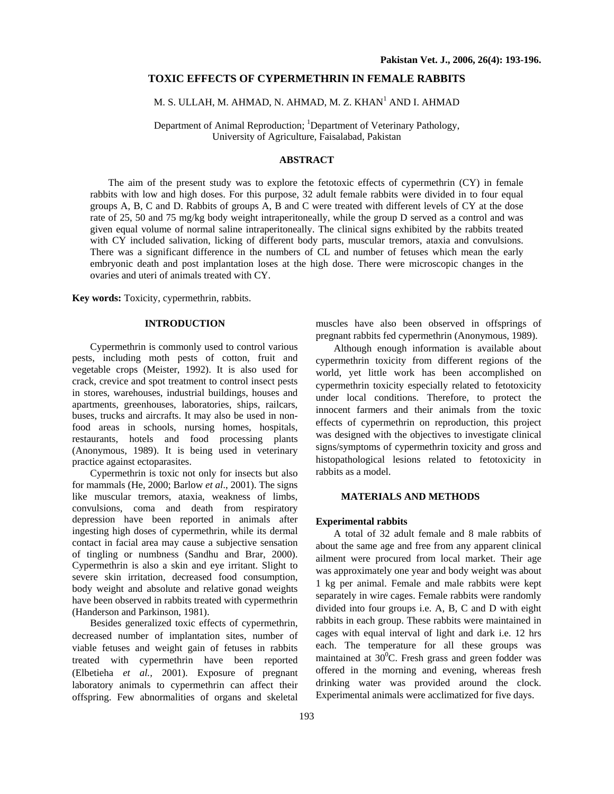### **TOXIC EFFECTS OF CYPERMETHRIN IN FEMALE RABBITS**

# M. S. ULLAH, M. AHMAD, N. AHMAD, M. Z. KHAN<sup>1</sup> AND I. AHMAD

Department of Animal Reproduction; <sup>1</sup>Department of Veterinary Pathology, University of Agriculture, Faisalabad, Pakistan

## **ABSTRACT**

The aim of the present study was to explore the fetotoxic effects of cypermethrin (CY) in female rabbits with low and high doses. For this purpose, 32 adult female rabbits were divided in to four equal groups A, B, C and D. Rabbits of groups A, B and C were treated with different levels of CY at the dose rate of 25, 50 and 75 mg/kg body weight intraperitoneally, while the group D served as a control and was given equal volume of normal saline intraperitoneally. The clinical signs exhibited by the rabbits treated with CY included salivation, licking of different body parts, muscular tremors, ataxia and convulsions. There was a significant difference in the numbers of CL and number of fetuses which mean the early embryonic death and post implantation loses at the high dose. There were microscopic changes in the ovaries and uteri of animals treated with CY.

**Key words:** Toxicity, cypermethrin, rabbits.

## **INTRODUCTION**

Cypermethrin is commonly used to control various pests, including moth pests of cotton, fruit and vegetable crops (Meister, 1992). It is also used for crack, crevice and spot treatment to control insect pests in stores, warehouses, industrial buildings, houses and apartments, greenhouses, laboratories, ships, railcars, buses, trucks and aircrafts. It may also be used in nonfood areas in schools, nursing homes, hospitals, restaurants, hotels and food processing plants (Anonymous, 1989). It is being used in veterinary practice against ectoparasites.

Cypermethrin is toxic not only for insects but also for mammals (He, 2000; Barlow *et al*., 2001). The signs like muscular tremors, ataxia, weakness of limbs, convulsions, coma and death from respiratory depression have been reported in animals after ingesting high doses of cypermethrin, while its dermal contact in facial area may cause a subjective sensation of tingling or numbness (Sandhu and Brar, 2000). Cypermethrin is also a skin and eye irritant. Slight to severe skin irritation, decreased food consumption, body weight and absolute and relative gonad weights have been observed in rabbits treated with cypermethrin (Handerson and Parkinson, 1981).

Besides generalized toxic effects of cypermethrin, decreased number of implantation sites, number of viable fetuses and weight gain of fetuses in rabbits treated with cypermethrin have been reported (Elbetieha *et al.,* 2001). Exposure of pregnant laboratory animals to cypermethrin can affect their offspring. Few abnormalities of organs and skeletal

muscles have also been observed in offsprings of pregnant rabbits fed cypermethrin (Anonymous, 1989).

Although enough information is available about cypermethrin toxicity from different regions of the world, yet little work has been accomplished on cypermethrin toxicity especially related to fetotoxicity under local conditions. Therefore, to protect the innocent farmers and their animals from the toxic effects of cypermethrin on reproduction, this project was designed with the objectives to investigate clinical signs/symptoms of cypermethrin toxicity and gross and histopathological lesions related to fetotoxicity in rabbits as a model.

## **MATERIALS AND METHODS**

#### **Experimental rabbits**

A total of 32 adult female and 8 male rabbits of about the same age and free from any apparent clinical ailment were procured from local market. Their age was approximately one year and body weight was about 1 kg per animal. Female and male rabbits were kept separately in wire cages. Female rabbits were randomly divided into four groups i.e. A, B, C and D with eight rabbits in each group. These rabbits were maintained in cages with equal interval of light and dark i.e. 12 hrs each. The temperature for all these groups was maintained at  $30^0$ C. Fresh grass and green fodder was offered in the morning and evening, whereas fresh drinking water was provided around the clock. Experimental animals were acclimatized for five days.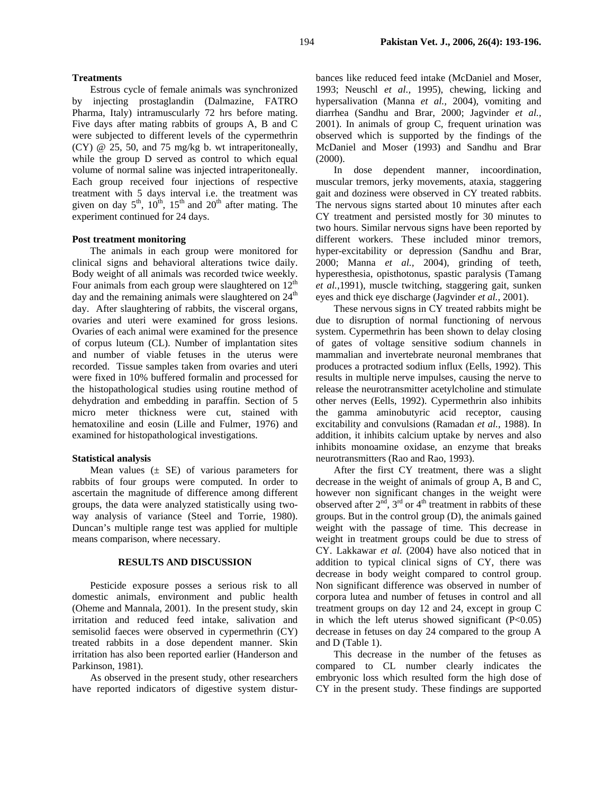#### **Treatments**

Estrous cycle of female animals was synchronized by injecting prostaglandin (Dalmazine, FATRO Pharma, Italy) intramuscularly 72 hrs before mating. Five days after mating rabbits of groups A, B and C were subjected to different levels of the cypermethrin (CY) @ 25, 50, and 75 mg/kg b. wt intraperitoneally, while the group D served as control to which equal volume of normal saline was injected intraperitoneally. Each group received four injections of respective treatment with 5 days interval i.e. the treatment was given on day  $5<sup>th</sup>$ ,  $10<sup>th</sup>$ ,  $15<sup>th</sup>$  and  $20<sup>th</sup>$  after mating. The experiment continued for 24 days.

#### **Post treatment monitoring**

The animals in each group were monitored for clinical signs and behavioral alterations twice daily. Body weight of all animals was recorded twice weekly. Four animals from each group were slaughtered on  $12<sup>th</sup>$ day and the remaining animals were slaughtered on  $24<sup>th</sup>$ day. After slaughtering of rabbits, the visceral organs, ovaries and uteri were examined for gross lesions. Ovaries of each animal were examined for the presence of corpus luteum (CL). Number of implantation sites and number of viable fetuses in the uterus were recorded. Tissue samples taken from ovaries and uteri were fixed in 10% buffered formalin and processed for the histopathological studies using routine method of dehydration and embedding in paraffin. Section of 5 micro meter thickness were cut, stained with hematoxiline and eosin (Lille and Fulmer, 1976) and examined for histopathological investigations.

#### **Statistical analysis**

Mean values  $(\pm \text{ SE})$  of various parameters for rabbits of four groups were computed. In order to ascertain the magnitude of difference among different groups, the data were analyzed statistically using twoway analysis of variance (Steel and Torrie, 1980). Duncan's multiple range test was applied for multiple means comparison, where necessary.

### **RESULTS AND DISCUSSION**

Pesticide exposure posses a serious risk to all domestic animals, environment and public health (Oheme and Mannala, 2001). In the present study, skin irritation and reduced feed intake, salivation and semisolid faeces were observed in cypermethrin (CY) treated rabbits in a dose dependent manner. Skin irritation has also been reported earlier (Handerson and Parkinson, 1981).

As observed in the present study, other researchers have reported indicators of digestive system disturbances like reduced feed intake (McDaniel and Moser, 1993; Neuschl *et al.,* 1995), chewing, licking and hypersalivation (Manna *et al.,* 2004), vomiting and diarrhea (Sandhu and Brar, 2000; Jagvinder *et al.,* 2001). In animals of group C, frequent urination was observed which is supported by the findings of the McDaniel and Moser (1993) and Sandhu and Brar (2000).

In dose dependent manner, incoordination, muscular tremors, jerky movements, ataxia, staggering gait and doziness were observed in CY treated rabbits. The nervous signs started about 10 minutes after each CY treatment and persisted mostly for 30 minutes to two hours. Similar nervous signs have been reported by different workers. These included minor tremors, hyper-excitability or depression (Sandhu and Brar, 2000; Manna *et al.,* 2004), grinding of teeth, hyperesthesia, opisthotonus, spastic paralysis (Tamang *et al.,*1991), muscle twitching, staggering gait, sunken eyes and thick eye discharge (Jagvinder *et al.,* 2001).

These nervous signs in CY treated rabbits might be due to disruption of normal functioning of nervous system. Cypermethrin has been shown to delay closing of gates of voltage sensitive sodium channels in mammalian and invertebrate neuronal membranes that produces a protracted sodium influx (Eells, 1992). This results in multiple nerve impulses, causing the nerve to release the neurotransmitter acetylcholine and stimulate other nerves (Eells, 1992). Cypermethrin also inhibits the gamma aminobutyric acid receptor, causing excitability and convulsions (Ramadan *et al.,* 1988). In addition, it inhibits calcium uptake by nerves and also inhibits monoamine oxidase, an enzyme that breaks neurotransmitters (Rao and Rao, 1993).

After the first CY treatment, there was a slight decrease in the weight of animals of group A, B and C, however non significant changes in the weight were observed after  $2<sup>nd</sup>$ ,  $3<sup>rd</sup>$  or  $4<sup>th</sup>$  treatment in rabbits of these groups. But in the control group (D), the animals gained weight with the passage of time. This decrease in weight in treatment groups could be due to stress of CY. Lakkawar *et al.* (2004) have also noticed that in addition to typical clinical signs of CY, there was decrease in body weight compared to control group. Non significant difference was observed in number of corpora lutea and number of fetuses in control and all treatment groups on day 12 and 24, except in group C in which the left uterus showed significant  $(P<0.05)$ decrease in fetuses on day 24 compared to the group A and D (Table 1).

This decrease in the number of the fetuses as compared to CL number clearly indicates the embryonic loss which resulted form the high dose of CY in the present study. These findings are supported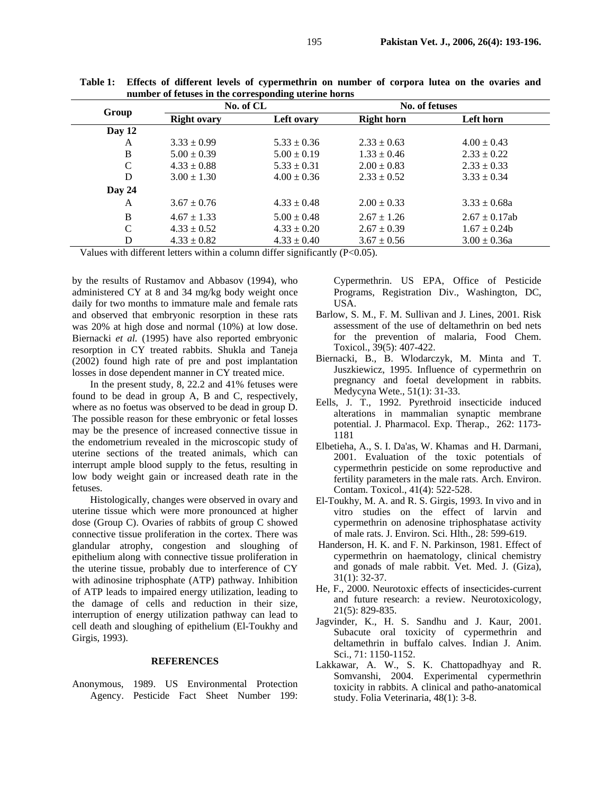| Group         | -9 ----<br>No. of CL |                 | No. of fetuses    |                    |
|---------------|----------------------|-----------------|-------------------|--------------------|
|               | <b>Right ovary</b>   | Left ovary      | <b>Right horn</b> | Left horn          |
| Day 12        |                      |                 |                   |                    |
| A             | $3.33 \pm 0.99$      | $5.33 \pm 0.36$ | $2.33 \pm 0.63$   | $4.00 \pm 0.43$    |
| B             | $5.00 \pm 0.39$      | $5.00 \pm 0.19$ | $1.33 \pm 0.46$   | $2.33 \pm 0.22$    |
| C             | $4.33 \pm 0.88$      | $5.33 \pm 0.31$ | $2.00 \pm 0.83$   | $2.33 \pm 0.33$    |
| D             | $3.00 \pm 1.30$      | $4.00 \pm 0.36$ | $2.33 \pm 0.52$   | $3.33 \pm 0.34$    |
| Day $24$      |                      |                 |                   |                    |
| A             | $3.67 \pm 0.76$      | $4.33 \pm 0.48$ | $2.00 \pm 0.33$   | $3.33 \pm 0.68a$   |
| B             | $4.67 \pm 1.33$      | $5.00 \pm 0.48$ | $2.67 \pm 1.26$   | $2.67 \pm 0.17$ ab |
| $\mathcal{C}$ | $4.33 \pm 0.52$      | $4.33 \pm 0.20$ | $2.67 \pm 0.39$   | $1.67 \pm 0.24$    |
| D             | $4.33 \pm 0.82$      | $4.33 \pm 0.40$ | $3.67 \pm 0.56$   | $3.00 \pm 0.36a$   |

**Table 1: Effects of different levels of cypermethrin on number of corpora lutea on the ovaries and number of fetuses in the corresponding uterine horns** 

Values with different letters within a column differ significantly (P<0.05).

by the results of Rustamov and Abbasov (1994), who administered CY at 8 and 34 mg/kg body weight once daily for two months to immature male and female rats and observed that embryonic resorption in these rats was 20% at high dose and normal (10%) at low dose. Biernacki *et al.* (1995) have also reported embryonic resorption in CY treated rabbits. Shukla and Taneja (2002) found high rate of pre and post implantation losses in dose dependent manner in CY treated mice.

In the present study, 8, 22.2 and 41% fetuses were found to be dead in group A, B and C, respectively, where as no foetus was observed to be dead in group D. The possible reason for these embryonic or fetal losses may be the presence of increased connective tissue in the endometrium revealed in the microscopic study of uterine sections of the treated animals, which can interrupt ample blood supply to the fetus, resulting in low body weight gain or increased death rate in the fetuses.

Histologically, changes were observed in ovary and uterine tissue which were more pronounced at higher dose (Group C). Ovaries of rabbits of group C showed connective tissue proliferation in the cortex. There was glandular atrophy, congestion and sloughing of epithelium along with connective tissue proliferation in the uterine tissue, probably due to interference of CY with adinosine triphosphate (ATP) pathway. Inhibition of ATP leads to impaired energy utilization, leading to the damage of cells and reduction in their size, interruption of energy utilization pathway can lead to cell death and sloughing of epithelium (El-Toukhy and Girgis, 1993).

#### **REFERENCES**

Anonymous, 1989. US Environmental Protection Agency. Pesticide Fact Sheet Number 199:

Cypermethrin. US EPA, Office of Pesticide Programs, Registration Div., Washington, DC, USA.

- Barlow, S. M., F. M. Sullivan and J. Lines, 2001. Risk assessment of the use of deltamethrin on bed nets for the prevention of malaria, Food Chem. Toxicol., 39(5): 407-422.
- Biernacki, B., B. Wlodarczyk, M. Minta and T. Juszkiewicz, 1995. Influence of cypermethrin on pregnancy and foetal development in rabbits. Medycyna Wete., 51(1): 31-33.
- Eells, J. T., 1992. Pyrethroid insecticide induced alterations in mammalian synaptic membrane potential. J. Pharmacol. Exp. Therap., 262: 1173- 1181
- Elbetieha, A., S. I. Da'as, W. Khamas and H. Darmani, 2001. Evaluation of the toxic potentials of cypermethrin pesticide on some reproductive and fertility parameters in the male rats. Arch. Environ. Contam. Toxicol., 41(4): 522-528.
- El-Toukhy, M. A. and R. S. Girgis, 1993. In vivo and in vitro studies on the effect of larvin and cypermethrin on adenosine triphosphatase activity of male rats. J. Environ. Sci. Hlth., 28: 599-619.
- Handerson, H. K. and F. N. Parkinson, 1981. Effect of cypermethrin on haematology, clinical chemistry and gonads of male rabbit. Vet. Med. J. (Giza), 31(1): 32-37.
- He, F., 2000. Neurotoxic effects of insecticides-current and future research: a review. Neurotoxicology, 21(5): 829-835.
- Jagvinder, K., H. S. Sandhu and J. Kaur, 2001. Subacute oral toxicity of cypermethrin and deltamethrin in buffalo calves. Indian J. Anim. Sci., 71: 1150-1152.
- Lakkawar, A. W., S. K. Chattopadhyay and R. Somvanshi, 2004. Experimental cypermethrin toxicity in rabbits. A clinical and patho-anatomical study. Folia Veterinaria, 48(1): 3-8.